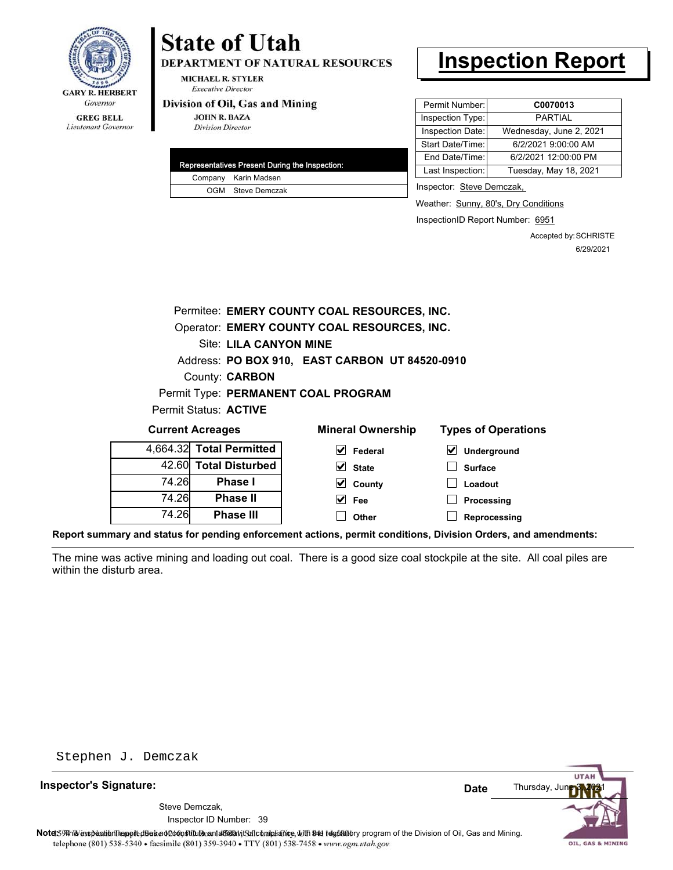

# **State of Utah**

**DEPARTMENT OF NATURAL RESOURCES** 

**MICHAEL R. STYLER Executive Director** 

#### Division of Oil, Gas and Mining

**JOHN R. BAZA Division Director** 

| Representatives Present During the Inspection: |
|------------------------------------------------|
| Company Karin Madsen                           |
| OGM Steve Demczak                              |

## **Inspection Report**

| Permit Number:   | C0070013                |
|------------------|-------------------------|
| Inspection Type: | PARTIAL                 |
| Inspection Date: | Wednesday, June 2, 2021 |
| Start Date/Time: | 6/2/2021 9:00:00 AM     |
| End Date/Time:   | 6/2/2021 12:00:00 PM    |
| Last Inspection: | Tuesday, May 18, 2021   |
|                  |                         |

Inspector: Steve Demczak,

Weather: Sunny, 80's, Dry Conditions

InspectionID Report Number: 6951

Accepted by: SCHRISTE 6/29/2021

|                       |                        | Permitee: EMERY COUNTY COAL RESOURCES, INC.    |                            |
|-----------------------|------------------------|------------------------------------------------|----------------------------|
|                       |                        | Operator: EMERY COUNTY COAL RESOURCES, INC.    |                            |
|                       | Site: LILA CANYON MINE |                                                |                            |
|                       |                        | Address: PO BOX 910, EAST CARBON UT 84520-0910 |                            |
|                       | County: <b>CARBON</b>  |                                                |                            |
|                       |                        | Permit Type: PERMANENT COAL PROGRAM            |                            |
| Permit Status: ACTIVE |                        |                                                |                            |
| Current Acreages      |                        | <b>Mineral Ownership</b>                       | <b>Types of Operations</b> |

| <b>UUITEIIL AUTEQUES</b> |                          | <b>MILIGIAL OWLIGISHIP</b> | i ypes or Operations                       |  |
|--------------------------|--------------------------|----------------------------|--------------------------------------------|--|
|                          | 4,664.32 Total Permitted | V<br>Federal               | $\vert\bm{\checkmark}\vert$<br>Underground |  |
|                          | 42.60 Total Disturbed    | $\vee$ State               | Surface                                    |  |
| 74.26                    | Phase I                  | $\vee$ County              | Loadout                                    |  |
| 74.26                    | <b>Phase II</b>          | $\vee$ Fee                 | Processing                                 |  |
| 74.26                    | <b>Phase III</b>         | Other                      | Reprocessing                               |  |

**Report summary and status for pending enforcement actions, permit conditions, Division Orders, and amendments:**

The mine was active mining and loading out coal. There is a good size coal stockpile at the site. All coal piles are within the disturb area.

Stephen J. Demczak

**Inspector's Signature:**

Inspector ID Number: 39 Steve Demczak,



OIL, GAS & MINING

Note: This inspection report disean of constitute and affidavit for compliance, with the regulatory program of the Division of Oil, Gas and Mining. telephone (801) 538-5340 · facsimile (801) 359-3940 · TTY (801) 538-7458 · www.ogm.utah.gov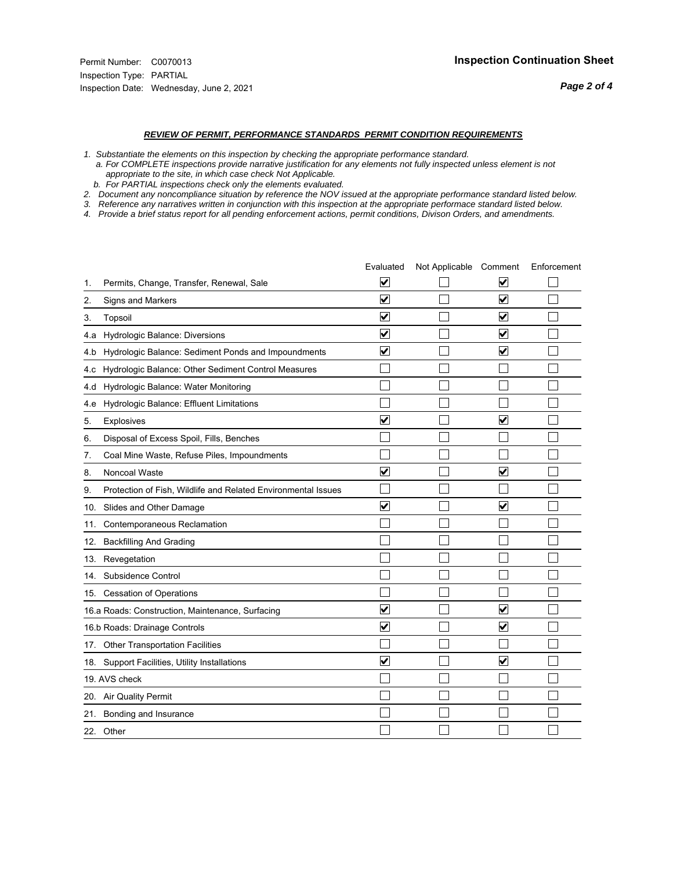*Page 2 of 4*

#### *REVIEW OF PERMIT, PERFORMANCE STANDARDS PERMIT CONDITION REQUIREMENTS*

- *1. Substantiate the elements on this inspection by checking the appropriate performance standard.*
- *a. For COMPLETE inspections provide narrative justification for any elements not fully inspected unless element is not appropriate to the site, in which case check Not Applicable.*
- *b. For PARTIAL inspections check only the elements evaluated.*
- *2. Document any noncompliance situation by reference the NOV issued at the appropriate performance standard listed below.*
- *3. Reference any narratives written in conjunction with this inspection at the appropriate performace standard listed below.*
- *4. Provide a brief status report for all pending enforcement actions, permit conditions, Divison Orders, and amendments.*

|     |                                                               | Evaluated               | Not Applicable Comment |                         | Enforcement |
|-----|---------------------------------------------------------------|-------------------------|------------------------|-------------------------|-------------|
| 1.  | Permits, Change, Transfer, Renewal, Sale                      | $\overline{\mathsf{v}}$ |                        | V                       |             |
| 2.  | Signs and Markers                                             | $\overline{\mathbf{v}}$ |                        | $\blacktriangledown$    |             |
| 3.  | Topsoil                                                       | $\overline{\mathbf{v}}$ |                        | $\overline{\mathbf{v}}$ |             |
| 4.a | Hydrologic Balance: Diversions                                | $\blacktriangledown$    |                        | $\blacktriangledown$    |             |
| 4.b | Hydrologic Balance: Sediment Ponds and Impoundments           | ⊻                       |                        | V                       |             |
| 4.c | Hydrologic Balance: Other Sediment Control Measures           |                         |                        |                         |             |
| 4.d | Hydrologic Balance: Water Monitoring                          |                         |                        |                         |             |
| 4.e | Hydrologic Balance: Effluent Limitations                      |                         |                        |                         |             |
| 5.  | <b>Explosives</b>                                             | $\overline{\mathbf{v}}$ |                        | ☑                       |             |
| 6.  | Disposal of Excess Spoil, Fills, Benches                      |                         |                        |                         |             |
| 7.  | Coal Mine Waste, Refuse Piles, Impoundments                   |                         |                        |                         |             |
| 8.  | Noncoal Waste                                                 | $\overline{\mathsf{v}}$ |                        | V                       |             |
| 9.  | Protection of Fish, Wildlife and Related Environmental Issues |                         |                        |                         |             |
|     | 10. Slides and Other Damage                                   | $\overline{\mathbf{v}}$ |                        | ☑                       |             |
| 11. | Contemporaneous Reclamation                                   |                         |                        |                         |             |
| 12. | <b>Backfilling And Grading</b>                                |                         |                        |                         |             |
|     | 13. Revegetation                                              |                         |                        |                         |             |
| 14. | Subsidence Control                                            |                         |                        |                         |             |
|     | 15. Cessation of Operations                                   |                         |                        |                         |             |
|     | 16.a Roads: Construction, Maintenance, Surfacing              | $\blacktriangledown$    |                        | $\blacktriangledown$    |             |
|     | 16.b Roads: Drainage Controls                                 | $\overline{\mathbf{v}}$ |                        | $\blacktriangledown$    |             |
| 17. | <b>Other Transportation Facilities</b>                        |                         |                        |                         |             |
| 18. | Support Facilities, Utility Installations                     | $\overline{\mathbf{v}}$ |                        | $\overline{\mathbf{v}}$ |             |
|     | 19. AVS check                                                 |                         |                        |                         |             |
|     | 20. Air Quality Permit                                        |                         |                        |                         |             |
|     | 21. Bonding and Insurance                                     |                         |                        |                         |             |
|     | 22. Other                                                     |                         |                        |                         |             |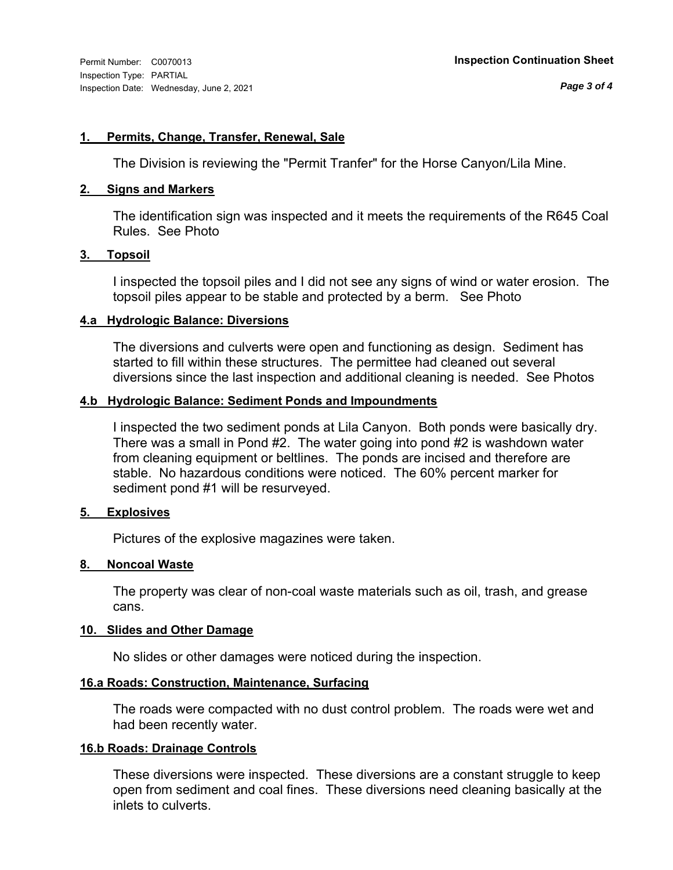#### **1. Permits, Change, Transfer, Renewal, Sale**

The Division is reviewing the "Permit Tranfer" for the Horse Canyon/Lila Mine.

#### **2. Signs and Markers**

The identification sign was inspected and it meets the requirements of the R645 Coal Rules. See Photo

#### **3. Topsoil**

I inspected the topsoil piles and I did not see any signs of wind or water erosion. The topsoil piles appear to be stable and protected by a berm. See Photo

#### **4.a Hydrologic Balance: Diversions**

The diversions and culverts were open and functioning as design. Sediment has started to fill within these structures. The permittee had cleaned out several diversions since the last inspection and additional cleaning is needed. See Photos

#### **4.b Hydrologic Balance: Sediment Ponds and Impoundments**

I inspected the two sediment ponds at Lila Canyon. Both ponds were basically dry. There was a small in Pond #2. The water going into pond #2 is washdown water from cleaning equipment or beltlines. The ponds are incised and therefore are stable. No hazardous conditions were noticed. The 60% percent marker for sediment pond #1 will be resurveyed.

#### **5. Explosives**

Pictures of the explosive magazines were taken.

#### **8. Noncoal Waste**

The property was clear of non-coal waste materials such as oil, trash, and grease cans.

#### **10. Slides and Other Damage**

No slides or other damages were noticed during the inspection.

#### **16.a Roads: Construction, Maintenance, Surfacing**

The roads were compacted with no dust control problem. The roads were wet and had been recently water.

#### **16.b Roads: Drainage Controls**

These diversions were inspected. These diversions are a constant struggle to keep open from sediment and coal fines. These diversions need cleaning basically at the inlets to culverts.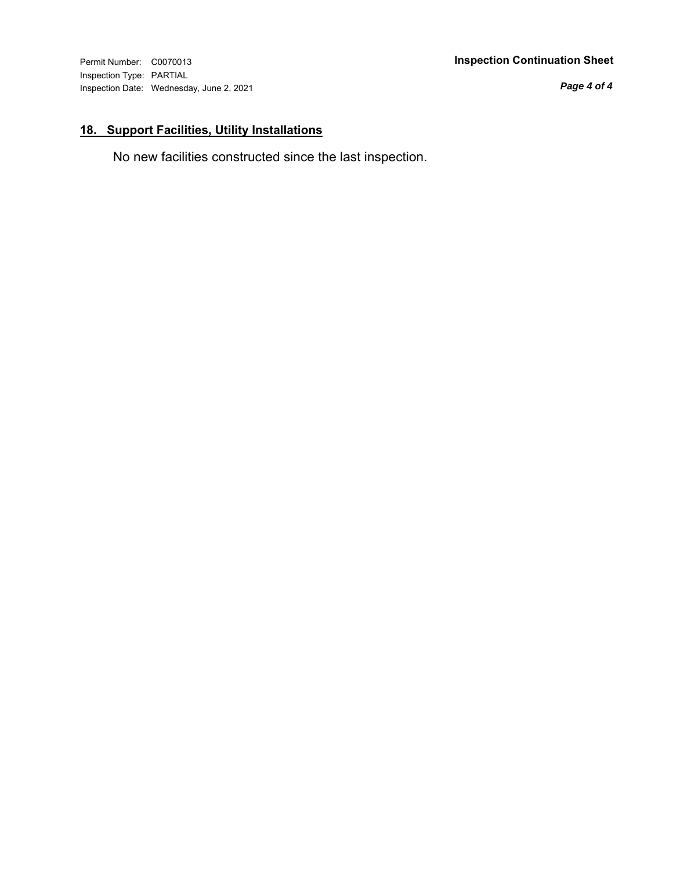Inspection Type: PARTIAL Inspection Date: Wednesday, June 2, 2021

#### Permit Number: C0070013 **Inspection Continuation Sheet**

*Page 4 of 4*

### **18. Support Facilities, Utility Installations**

No new facilities constructed since the last inspection.